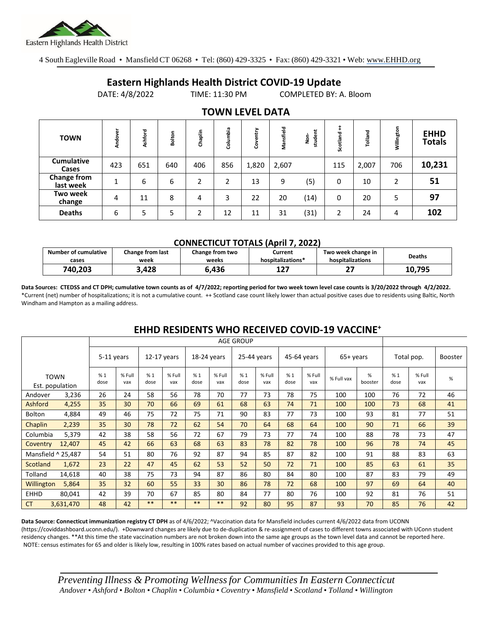

4 South Eagleville Road • Mansfield CT 06268 • Tel: (860) 429-3325 • Fax: (860) 429-3321 • Web: www.EHHD.org

## **Eastern Highlands Health District COVID-19 Update**

DATE: 4/8/2022 TIME: 11:30 PM COMPLETED BY: A. Bloom

| <b>TOWN</b>                | Andover | shford<br>ď | Bolton | Chaplin | Columbia | ➤<br>늍<br>$\overline{a}$<br>පි | Mansfield | student<br>ġ | Scotland | Tolland | Willington     | <b>EHHD</b><br><b>Totals</b> |
|----------------------------|---------|-------------|--------|---------|----------|--------------------------------|-----------|--------------|----------|---------|----------------|------------------------------|
| <b>Cumulative</b><br>Cases | 423     | 651         | 640    | 406     | 856      | 1,820                          | 2,607     |              | 115      | 2,007   | 706            | 10,231                       |
| Change from<br>last week   | 1       | 6           | 6      | 2       | 2        | 13                             | 9         | (5)          | 0        | 10      | $\overline{2}$ | 51                           |
| Two week<br>change         | 4       | 11          | 8      | 4       | 3        | 22                             | 20        | (14)         | 0        | 20      | 5              | 97                           |
| <b>Deaths</b>              | 6       | 5           | 5      | ำ       | 12       | 11                             | 31        | (31)         | 2        | 24      | 4              | 102                          |

## **TOWN LEVEL DATA**

#### **CONNECTICUT TOTALS (April 7, 2022)**

| <b>Number of cumulative</b><br>cases | Change from last<br>Change from two<br>week<br>weeks |       | Current<br>hospitalizations* | Two week change in<br>hospitalizations | Deaths |
|--------------------------------------|------------------------------------------------------|-------|------------------------------|----------------------------------------|--------|
| 740,203                              | 3,428                                                | 6.436 | 1 7 7<br>∸∸                  | $\sim$                                 | 10.795 |

**Data Sources: CTEDSS and CT DPH; cumulative town counts as of 4/7/2022; reporting period for two week town level case counts is 3/20/2022 through 4/2/2022.** \*Current (net) number of hospitalizations; it is not a cumulative count. ++ Scotland case count likely lower than actual positive cases due to residents using Baltic, North Windham and Hampton as a mailing address.

|                    |                                |            | <b>AGE GROUP</b> |               |               |             |               |             |               |             |               |            |              |            |               |                |
|--------------------|--------------------------------|------------|------------------|---------------|---------------|-------------|---------------|-------------|---------------|-------------|---------------|------------|--------------|------------|---------------|----------------|
|                    |                                | 5-11 years |                  | $12-17$ years |               | 18-24 years |               | 25-44 years |               | 45-64 years |               | $65+vears$ |              | Total pop. |               | <b>Booster</b> |
|                    | <b>TOWN</b><br>Est. population | %1<br>dose | % Full<br>vax    | %1<br>dose    | % Full<br>vax | %1<br>dose  | % Full<br>vax | %1<br>dose  | % Full<br>vax | %1<br>dose  | % Full<br>vax | % Full vax | %<br>booster | %1<br>dose | % Full<br>vax | $\%$           |
| Andover            | 3,236                          | 26         | 24               | 58            | 56            | 78          | 70            | 77          | 73            | 78          | 75            | 100        | 100          | 76         | 72            | 46             |
| Ashford            | 4,255                          | 35         | 30               | 70            | 66            | 69          | 61            | 68          | 63            | 74          | 71            | 100        | 100          | 73         | 68            | 41             |
| Bolton             | 4,884                          | 49         | 46               | 75            | 72            | 75          | 71            | 90          | 83            | 77          | 73            | 100        | 93           | 81         | 77            | 51             |
| Chaplin            | 2,239                          | 35         | 30               | 78            | 72            | 62          | 54            | 70          | 64            | 68          | 64            | 100        | 90           | 71         | 66            | 39             |
| Columbia           | 5,379                          | 42         | 38               | 58            | 56            | 72          | 67            | 79          | 73            | 77          | 74            | 100        | 88           | 78         | 73            | 47             |
| Coventry           | 12,407                         | 45         | 42               | 66            | 63            | 68          | 63            | 83          | 78            | 82          | 78            | 100        | 96           | 78         | 74            | 45             |
| Mansfield ^ 25,487 |                                | 54         | 51               | 80            | 76            | 92          | 87            | 94          | 85            | 87          | 82            | 100        | 91           | 88         | 83            | 63             |
| Scotland           | 1,672                          | 23         | 22               | 47            | 45            | 62          | 53            | 52          | 50            | 72          | 71            | 100        | 85           | 63         | 61            | 35             |
| Tolland            | 14,618                         | 40         | 38               | 75            | 73            | 94          | 87            | 86          | 80            | 84          | 80            | 100        | 87           | 83         | 79            | 49             |
| <b>Willington</b>  | 5,864                          | 35         | 32               | 60            | 55            | 33          | 30            | 86          | 78            | 72          | 68            | 100        | 97           | 69         | 64            | 40             |
| <b>EHHD</b>        | 80,041                         | 42         | 39               | 70            | 67            | 85          | 80            | 84          | 77            | 80          | 76            | 100        | 92           | 81         | 76            | 51             |
| <b>CT</b>          | 3,631,470                      | 48         | 42               | $***$         | $***$         | $***$       | $***$         | 92          | 80            | 95          | 87            | 93         | 70           | 85         | 76            | 42             |

### **EHHD RESIDENTS WHO RECEIVED COVID-19 VACCINE<sup>+</sup>**

**Data Source: Connecticut immunization registry CT DPH** as of 4/6/2022; ^Vaccination data for Mansfield includes current 4/6/2022 data from UCONN (https://coviddashboard.uconn.edu/). +Downward changes are likely due to de-duplication & re-assignment of cases to different towns associated with UConn student residency changes. \*\*At this time the state vaccination numbers are not broken down into the same age groups as the town level data and cannot be reported here. NOTE: census estimates for 65 and older is likely low, resulting in 100% rates based on actual number of vaccines provided to this age group.

*Preventing Illness & Promoting Wellnessfor Communities In Eastern Connecticut* Andover • Ashford • Bolton • Chaplin • Columbia • Coventry • Mansfield • Scotland • Tolland • Willington